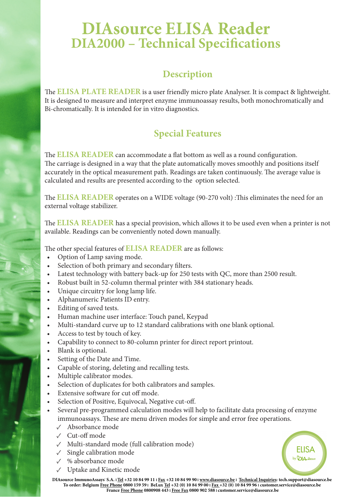## **DIAsource ELISA Reader DIA2000 – Technical Specifications**

## **Description**

The **ELISA PLATE READER** is a user friendly micro plate Analyser. It is compact & lightweight. It is designed to measure and interpret enzyme immunoassay results, both monochromatically and Bi-chromatically. It is intended for in vitro diagnostics.

## **Special Features**

The **ELISA READER** can accommodate a flat bottom as well as a round configuration. The carriage is designed in a way that the plate automatically moves smoothly and positions itself accurately in the optical measurement path. Readings are taken continuously. The average value is calculated and results are presented according to the option selected.

The **ELISA READER** operates on a WIDE voltage (90-270 volt) :This eliminates the need for an external voltage stabilizer.

The **ELISA READER** has a special provision, which allows it to be used even when a printer is not available. Readings can be conveniently noted down manually.

The other special features of **ELISA READER** are as follows:

- Option of Lamp saving mode.
- Selection of both primary and secondary filters.
- Latest technology with battery back-up for 250 tests with QC, more than 2500 result.
- Robust built in 52-column thermal printer with 384 stationary heads.
- Unique circuitry for long lamp life.
- Alphanumeric Patients ID entry.
- Editing of saved tests.
- Human machine user interface: Touch panel, Keypad
- Multi-standard curve up to 12 standard calibrations with one blank optional.
- Access to test by touch of key.
- Capability to connect to 80-column printer for direct report printout.
- Blank is optional.
- Setting of the Date and Time.
- Capable of storing, deleting and recalling tests.
- Multiple calibrator modes.
- Selection of duplicates for both calibrators and samples.
- Extensive software for cut off mode.
- Selection of Positive, Equivocal, Negative cut-off.
- Several pre-programmed calculation modes will help to facilitate data processing of enzyme immunoassays. These are menu driven modes for simple and error free operations.
	- ✓ Absorbance mode
	- ✓ Cut-off mode
	- ✓ Multi-standard mode (full calibration mode)
	- Single calibration mode
	- ✓ % absorbance mode
	- Uptake and Kinetic mode

**FIISA** DIA *Creek* 

**DIAsource ImmunoAssays® S.A. l Tel +32 10 84 99 11 l Fax +32 10 84 99 90 l www.diasource.be l Technical Inquiries: tech.support@diasource.be To order: Belgium Free Phone 0800 159 59 l BeLux Tel +32 (0) 10 84 99 00 l Fax +32 (0) 10 84 99 96 l customer.service@diasource.be France Free Phone 0800908 443 l Free Fax 0800 902 588 l customer.service@diasource.be**